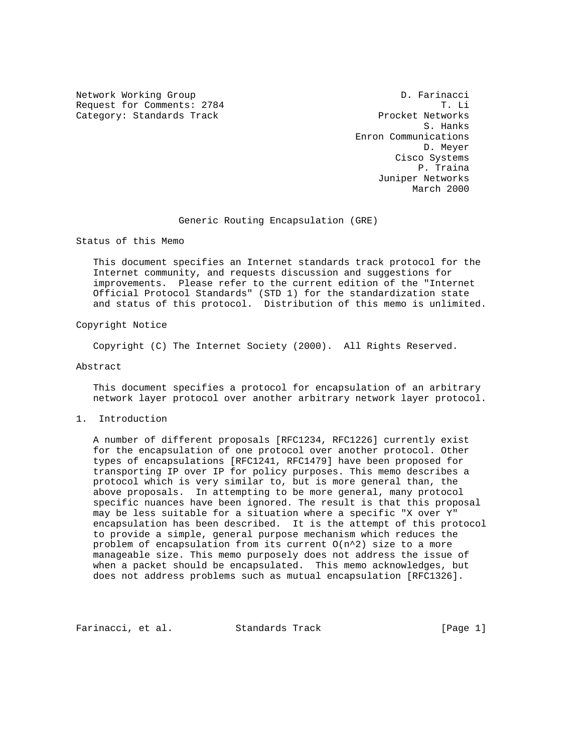Network Working Group and D. Farinacci Request for Comments: 2784 T. Li<br>Category: Standards Track Text Procket Networks Category: Standards Track

 S. Hanks Enron Communications D. Meyer Cisco Systems P. Traina Juniper Networks March 2000

Generic Routing Encapsulation (GRE)

Status of this Memo

 This document specifies an Internet standards track protocol for the Internet community, and requests discussion and suggestions for improvements. Please refer to the current edition of the "Internet Official Protocol Standards" (STD 1) for the standardization state and status of this protocol. Distribution of this memo is unlimited.

Copyright Notice

Copyright (C) The Internet Society (2000). All Rights Reserved.

Abstract

 This document specifies a protocol for encapsulation of an arbitrary network layer protocol over another arbitrary network layer protocol.

1. Introduction

 A number of different proposals [RFC1234, RFC1226] currently exist for the encapsulation of one protocol over another protocol. Other types of encapsulations [RFC1241, RFC1479] have been proposed for transporting IP over IP for policy purposes. This memo describes a protocol which is very similar to, but is more general than, the above proposals. In attempting to be more general, many protocol specific nuances have been ignored. The result is that this proposal may be less suitable for a situation where a specific "X over Y" encapsulation has been described. It is the attempt of this protocol to provide a simple, general purpose mechanism which reduces the problem of encapsulation from its current  $O(n^2)$  size to a more manageable size. This memo purposely does not address the issue of when a packet should be encapsulated. This memo acknowledges, but does not address problems such as mutual encapsulation [RFC1326].

Farinacci, et al. Standards Track [Page 1]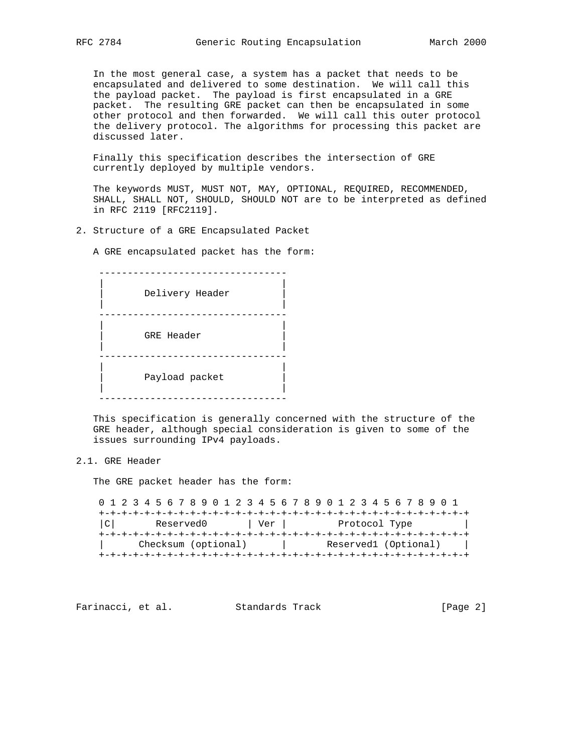In the most general case, a system has a packet that needs to be encapsulated and delivered to some destination. We will call this the payload packet. The payload is first encapsulated in a GRE packet. The resulting GRE packet can then be encapsulated in some other protocol and then forwarded. We will call this outer protocol the delivery protocol. The algorithms for processing this packet are discussed later.

 Finally this specification describes the intersection of GRE currently deployed by multiple vendors.

 The keywords MUST, MUST NOT, MAY, OPTIONAL, REQUIRED, RECOMMENDED, SHALL, SHALL NOT, SHOULD, SHOULD NOT are to be interpreted as defined in RFC 2119 [RFC2119].

2. Structure of a GRE Encapsulated Packet

A GRE encapsulated packet has the form:

 --------------------------------- | | Delivery Header | | --------------------------------- | | | GRE Header | | | --------------------------------- | | | Payload packet | | | ---------------------------------

 This specification is generally concerned with the structure of the GRE header, although special consideration is given to some of the issues surrounding IPv4 payloads.

#### 2.1. GRE Header

The GRE packet header has the form:

 0 1 2 3 4 5 6 7 8 9 0 1 2 3 4 5 6 7 8 9 0 1 2 3 4 5 6 7 8 9 0 1 +-+-+-+-+-+-+-+-+-+-+-+-+-+-+-+-+-+-+-+-+-+-+-+-+-+-+-+-+-+-+-+-+ |C| Reserved0 | Ver | Protocol Type +-+-+-+-+-+-+-+-+-+-+-+-+-+-+-+-+-+-+-+-+-+-+-+-+-+-+-+-+-+-+-+-+ | Checksum (optional) | Reserved1 (Optional) | +-+-+-+-+-+-+-+-+-+-+-+-+-+-+-+-+-+-+-+-+-+-+-+-+-+-+-+-+-+-+-+-+

Farinacci, et al. Standards Track [Page 2]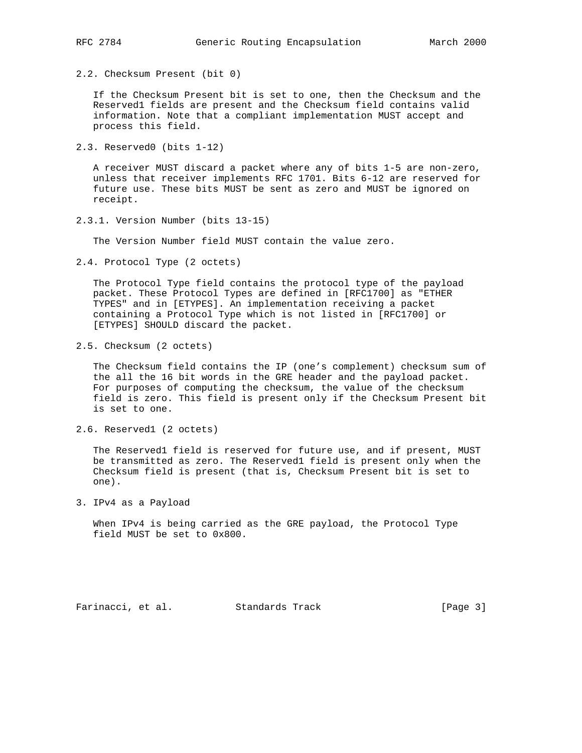2.2. Checksum Present (bit 0)

 If the Checksum Present bit is set to one, then the Checksum and the Reserved1 fields are present and the Checksum field contains valid information. Note that a compliant implementation MUST accept and process this field.

2.3. Reserved0 (bits 1-12)

 A receiver MUST discard a packet where any of bits 1-5 are non-zero, unless that receiver implements RFC 1701. Bits 6-12 are reserved for future use. These bits MUST be sent as zero and MUST be ignored on receipt.

2.3.1. Version Number (bits 13-15)

The Version Number field MUST contain the value zero.

2.4. Protocol Type (2 octets)

 The Protocol Type field contains the protocol type of the payload packet. These Protocol Types are defined in [RFC1700] as "ETHER TYPES" and in [ETYPES]. An implementation receiving a packet containing a Protocol Type which is not listed in [RFC1700] or [ETYPES] SHOULD discard the packet.

2.5. Checksum (2 octets)

 The Checksum field contains the IP (one's complement) checksum sum of the all the 16 bit words in the GRE header and the payload packet. For purposes of computing the checksum, the value of the checksum field is zero. This field is present only if the Checksum Present bit is set to one.

2.6. Reserved1 (2 octets)

 The Reserved1 field is reserved for future use, and if present, MUST be transmitted as zero. The Reserved1 field is present only when the Checksum field is present (that is, Checksum Present bit is set to one).

3. IPv4 as a Payload

 When IPv4 is being carried as the GRE payload, the Protocol Type field MUST be set to 0x800.

Farinacci, et al. Standards Track [Page 3]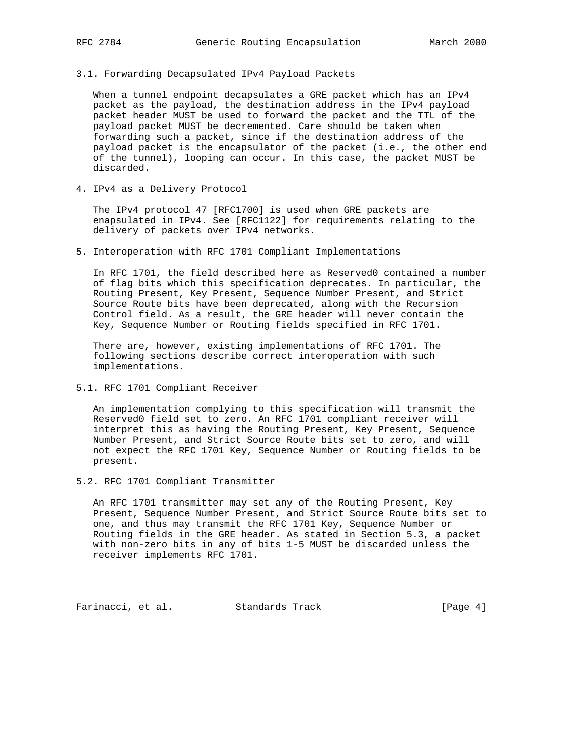3.1. Forwarding Decapsulated IPv4 Payload Packets

 When a tunnel endpoint decapsulates a GRE packet which has an IPv4 packet as the payload, the destination address in the IPv4 payload packet header MUST be used to forward the packet and the TTL of the payload packet MUST be decremented. Care should be taken when forwarding such a packet, since if the destination address of the payload packet is the encapsulator of the packet (i.e., the other end of the tunnel), looping can occur. In this case, the packet MUST be discarded.

4. IPv4 as a Delivery Protocol

 The IPv4 protocol 47 [RFC1700] is used when GRE packets are enapsulated in IPv4. See [RFC1122] for requirements relating to the delivery of packets over IPv4 networks.

5. Interoperation with RFC 1701 Compliant Implementations

 In RFC 1701, the field described here as Reserved0 contained a number of flag bits which this specification deprecates. In particular, the Routing Present, Key Present, Sequence Number Present, and Strict Source Route bits have been deprecated, along with the Recursion Control field. As a result, the GRE header will never contain the Key, Sequence Number or Routing fields specified in RFC 1701.

 There are, however, existing implementations of RFC 1701. The following sections describe correct interoperation with such implementations.

5.1. RFC 1701 Compliant Receiver

 An implementation complying to this specification will transmit the Reserved0 field set to zero. An RFC 1701 compliant receiver will interpret this as having the Routing Present, Key Present, Sequence Number Present, and Strict Source Route bits set to zero, and will not expect the RFC 1701 Key, Sequence Number or Routing fields to be present.

5.2. RFC 1701 Compliant Transmitter

 An RFC 1701 transmitter may set any of the Routing Present, Key Present, Sequence Number Present, and Strict Source Route bits set to one, and thus may transmit the RFC 1701 Key, Sequence Number or Routing fields in the GRE header. As stated in Section 5.3, a packet with non-zero bits in any of bits 1-5 MUST be discarded unless the receiver implements RFC 1701.

Farinacci, et al. Standards Track [Page 4]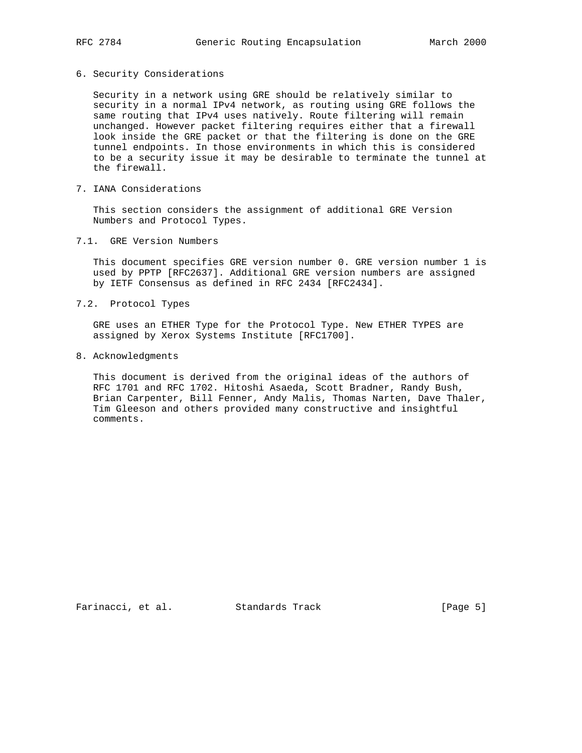#### 6. Security Considerations

 Security in a network using GRE should be relatively similar to security in a normal IPv4 network, as routing using GRE follows the same routing that IPv4 uses natively. Route filtering will remain unchanged. However packet filtering requires either that a firewall look inside the GRE packet or that the filtering is done on the GRE tunnel endpoints. In those environments in which this is considered to be a security issue it may be desirable to terminate the tunnel at the firewall.

7. IANA Considerations

 This section considers the assignment of additional GRE Version Numbers and Protocol Types.

7.1. GRE Version Numbers

 This document specifies GRE version number 0. GRE version number 1 is used by PPTP [RFC2637]. Additional GRE version numbers are assigned by IETF Consensus as defined in RFC 2434 [RFC2434].

7.2. Protocol Types

 GRE uses an ETHER Type for the Protocol Type. New ETHER TYPES are assigned by Xerox Systems Institute [RFC1700].

8. Acknowledgments

 This document is derived from the original ideas of the authors of RFC 1701 and RFC 1702. Hitoshi Asaeda, Scott Bradner, Randy Bush, Brian Carpenter, Bill Fenner, Andy Malis, Thomas Narten, Dave Thaler, Tim Gleeson and others provided many constructive and insightful comments.

Farinacci, et al. Standards Track [Page 5]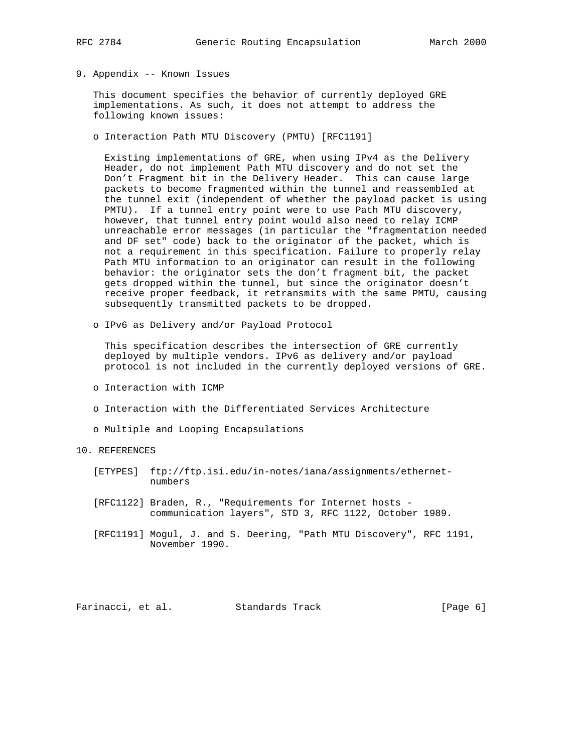- 
- 9. Appendix -- Known Issues

 This document specifies the behavior of currently deployed GRE implementations. As such, it does not attempt to address the following known issues:

o Interaction Path MTU Discovery (PMTU) [RFC1191]

 Existing implementations of GRE, when using IPv4 as the Delivery Header, do not implement Path MTU discovery and do not set the Don't Fragment bit in the Delivery Header. This can cause large packets to become fragmented within the tunnel and reassembled at the tunnel exit (independent of whether the payload packet is using PMTU). If a tunnel entry point were to use Path MTU discovery, however, that tunnel entry point would also need to relay ICMP unreachable error messages (in particular the "fragmentation needed and DF set" code) back to the originator of the packet, which is not a requirement in this specification. Failure to properly relay Path MTU information to an originator can result in the following behavior: the originator sets the don't fragment bit, the packet gets dropped within the tunnel, but since the originator doesn't receive proper feedback, it retransmits with the same PMTU, causing subsequently transmitted packets to be dropped.

o IPv6 as Delivery and/or Payload Protocol

 This specification describes the intersection of GRE currently deployed by multiple vendors. IPv6 as delivery and/or payload protocol is not included in the currently deployed versions of GRE.

- o Interaction with ICMP
- o Interaction with the Differentiated Services Architecture
- o Multiple and Looping Encapsulations

### 10. REFERENCES

- [ETYPES] ftp://ftp.isi.edu/in-notes/iana/assignments/ethernet numbers
- [RFC1122] Braden, R., "Requirements for Internet hosts communication layers", STD 3, RFC 1122, October 1989.
- [RFC1191] Mogul, J. and S. Deering, "Path MTU Discovery", RFC 1191, November 1990.

Farinacci, et al. Standards Track [Page 6]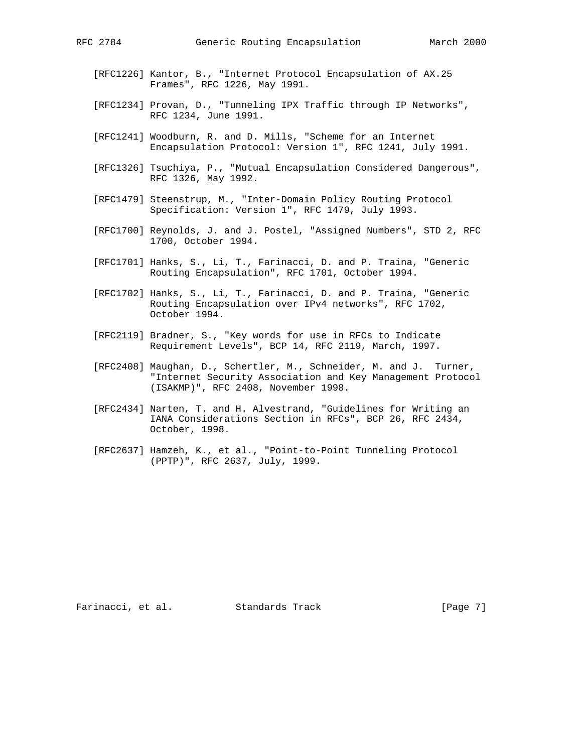- [RFC1226] Kantor, B., "Internet Protocol Encapsulation of AX.25 Frames", RFC 1226, May 1991.
- [RFC1234] Provan, D., "Tunneling IPX Traffic through IP Networks", RFC 1234, June 1991.
- [RFC1241] Woodburn, R. and D. Mills, "Scheme for an Internet Encapsulation Protocol: Version 1", RFC 1241, July 1991.
- [RFC1326] Tsuchiya, P., "Mutual Encapsulation Considered Dangerous", RFC 1326, May 1992.
- [RFC1479] Steenstrup, M., "Inter-Domain Policy Routing Protocol Specification: Version 1", RFC 1479, July 1993.
- [RFC1700] Reynolds, J. and J. Postel, "Assigned Numbers", STD 2, RFC 1700, October 1994.
- [RFC1701] Hanks, S., Li, T., Farinacci, D. and P. Traina, "Generic Routing Encapsulation", RFC 1701, October 1994.
- [RFC1702] Hanks, S., Li, T., Farinacci, D. and P. Traina, "Generic Routing Encapsulation over IPv4 networks", RFC 1702, October 1994.
- [RFC2119] Bradner, S., "Key words for use in RFCs to Indicate Requirement Levels", BCP 14, RFC 2119, March, 1997.
- [RFC2408] Maughan, D., Schertler, M., Schneider, M. and J. Turner, "Internet Security Association and Key Management Protocol (ISAKMP)", RFC 2408, November 1998.
- [RFC2434] Narten, T. and H. Alvestrand, "Guidelines for Writing an IANA Considerations Section in RFCs", BCP 26, RFC 2434, October, 1998.
- [RFC2637] Hamzeh, K., et al., "Point-to-Point Tunneling Protocol (PPTP)", RFC 2637, July, 1999.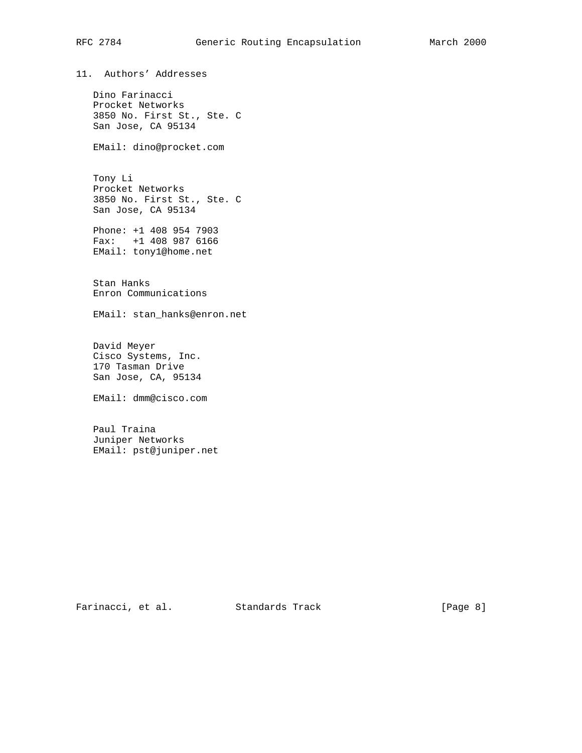# RFC 2784 Generic Routing Encapsulation March 2000

11. Authors' Addresses

 Dino Farinacci Procket Networks 3850 No. First St., Ste. C San Jose, CA 95134

EMail: dino@procket.com

 Tony Li Procket Networks 3850 No. First St., Ste. C San Jose, CA 95134

 Phone: +1 408 954 7903 Fax: +1 408 987 6166 EMail: tony1@home.net

 Stan Hanks Enron Communications

EMail: stan\_hanks@enron.net

 David Meyer Cisco Systems, Inc. 170 Tasman Drive San Jose, CA, 95134

EMail: dmm@cisco.com

 Paul Traina Juniper Networks EMail: pst@juniper.net

Farinacci, et al. Standards Track [Page 8]